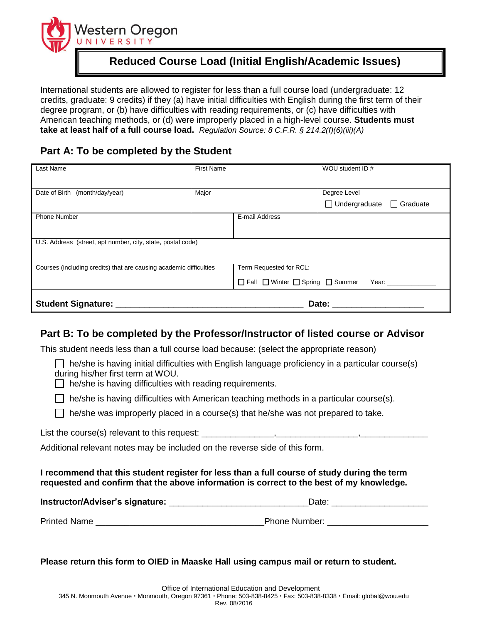

# **Reduced Course Load (Initial English/Academic Issues)**

International students are allowed to register for less than a full course load (undergraduate: 12 credits, graduate: 9 credits) if they (a) have initial difficulties with English during the first term of their degree program, or (b) have difficulties with reading requirements, or (c) have difficulties with American teaching methods, or (d) were improperly placed in a high-level course. **Students must take at least half of a full course load.** *Regulation Source: 8 C.F.R. § [214.2\(f\)\(6\)\(iii\)\(A](http://www.nafsa.org/_/file/_/amresource/8cfr2142f.htm#2142f6iiiB))*

## **Part A: To be completed by the Student**

| Student Signature: ________                                        |                   |                                                       | Date:                                                                                                                                                                                                                          |  |
|--------------------------------------------------------------------|-------------------|-------------------------------------------------------|--------------------------------------------------------------------------------------------------------------------------------------------------------------------------------------------------------------------------------|--|
|                                                                    |                   | $\Box$ Fall $\Box$ Winter $\Box$ Spring $\Box$ Summer | Year: when the control of the control of the control of the control of the control of the control of the control of the control of the control of the control of the control of the control of the control of the control of t |  |
| Courses (including credits) that are causing academic difficulties |                   | Term Requested for RCL:                               |                                                                                                                                                                                                                                |  |
| U.S. Address (street, apt number, city, state, postal code)        |                   |                                                       |                                                                                                                                                                                                                                |  |
|                                                                    |                   |                                                       |                                                                                                                                                                                                                                |  |
| <b>Phone Number</b>                                                | E-mail Address    |                                                       |                                                                                                                                                                                                                                |  |
|                                                                    |                   |                                                       | Undergraduate<br>$\Box$ Graduate                                                                                                                                                                                               |  |
| Date of Birth (month/day/year)                                     | Major             |                                                       | Degree Level                                                                                                                                                                                                                   |  |
| Last Name                                                          | <b>First Name</b> |                                                       | WOU student ID #                                                                                                                                                                                                               |  |

### **Part B: To be completed by the Professor/Instructor of listed course or Advisor**

This student needs less than a full course load because: (select the appropriate reason)

 $\Box$  he/she is having initial difficulties with English language proficiency in a particular course(s) during his/her first term at WOU.

 $\Box$  he/she is having difficulties with reading requirements.

 $\Box$  he/she is having difficulties with American teaching methods in a particular course(s).

 $\Box$  he/she was improperly placed in a course(s) that he/she was not prepared to take.

List the course(s) relevant to this request:

Additional relevant notes may be included on the reverse side of this form.

### **I recommend that this student register for less than a full course of study during the term requested and confirm that the above information is correct to the best of my knowledge.**

| Instructor/Adviser's signature: | Date:                |  |
|---------------------------------|----------------------|--|
| <b>Printed Name</b>             | <b>Phone Number:</b> |  |

#### **Please return this form to OIED in Maaske Hall using campus mail or return to student.**